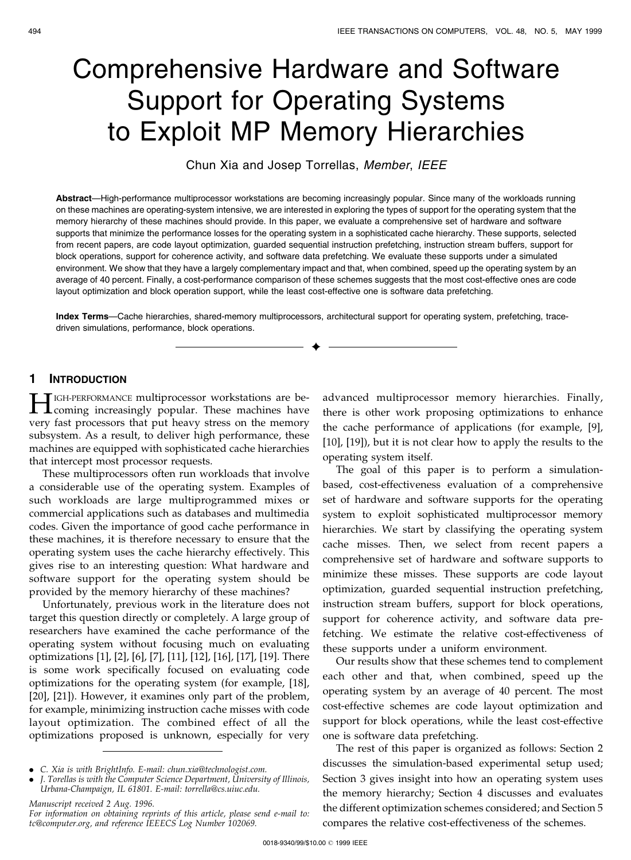# Comprehensive Hardware and Software Support for Operating Systems to Exploit MP Memory Hierarchies

Chun Xia and Josep Torrellas, Member, IEEE

Abstract-High-performance multiprocessor workstations are becoming increasingly popular. Since many of the workloads running on these machines are operating-system intensive, we are interested in exploring the types of support for the operating system that the memory hierarchy of these machines should provide. In this paper, we evaluate a comprehensive set of hardware and software supports that minimize the performance losses for the operating system in a sophisticated cache hierarchy. These supports, selected from recent papers, are code layout optimization, guarded sequential instruction prefetching, instruction stream buffers, support for block operations, support for coherence activity, and software data prefetching. We evaluate these supports under a simulated environment. We show that they have a largely complementary impact and that, when combined, speed up the operating system by an average of 40 percent. Finally, a cost-performance comparison of these schemes suggests that the most cost-effective ones are code layout optimization and block operation support, while the least cost-effective one is software data prefetching.

Index Terms-Cache hierarchies, shared-memory multiprocessors, architectural support for operating system, prefetching, tracedriven simulations, performance, block operations.

 $\blacklozenge$ 

# 1 INTRODUCTION

**HI**GH-PERFORMANCE multiprocessor workstations are be-<br>coming increasingly popular. These machines have very fast processors that put heavy stress on the memory subsystem. As a result, to deliver high performance, these machines are equipped with sophisticated cache hierarchies that intercept most processor requests.

These multiprocessors often run workloads that involve a considerable use of the operating system. Examples of such workloads are large multiprogrammed mixes or commercial applications such as databases and multimedia codes. Given the importance of good cache performance in these machines, it is therefore necessary to ensure that the operating system uses the cache hierarchy effectively. This gives rise to an interesting question: What hardware and software support for the operating system should be provided by the memory hierarchy of these machines?

Unfortunately, previous work in the literature does not target this question directly or completely. A large group of researchers have examined the cache performance of the operating system without focusing much on evaluating optimizations [1], [2], [6], [7], [11], [12], [16], [17], [19]. There is some work specifically focused on evaluating code optimizations for the operating system (for example, [18], [20], [21]). However, it examines only part of the problem, for example, minimizing instruction cache misses with code layout optimization. The combined effect of all the optimizations proposed is unknown, especially for very

Manuscript received 2 Aug. 1996. For information on obtaining reprints of this article, please send e-mail to: tc@computer.org, and reference IEEECS Log Number 102069.

advanced multiprocessor memory hierarchies. Finally, there is other work proposing optimizations to enhance the cache performance of applications (for example, [9], [10], [19]), but it is not clear how to apply the results to the operating system itself.

The goal of this paper is to perform a simulationbased, cost-effectiveness evaluation of a comprehensive set of hardware and software supports for the operating system to exploit sophisticated multiprocessor memory hierarchies. We start by classifying the operating system cache misses. Then, we select from recent papers a comprehensive set of hardware and software supports to minimize these misses. These supports are code layout optimization, guarded sequential instruction prefetching, instruction stream buffers, support for block operations, support for coherence activity, and software data prefetching. We estimate the relative cost-effectiveness of these supports under a uniform environment.

Our results show that these schemes tend to complement each other and that, when combined, speed up the operating system by an average of 40 percent. The most cost-effective schemes are code layout optimization and support for block operations, while the least cost-effective one is software data prefetching.

The rest of this paper is organized as follows: Section 2 discusses the simulation-based experimental setup used; Section 3 gives insight into how an operating system uses the memory hierarchy; Section 4 discusses and evaluates the different optimization schemes considered; and Section 5 compares the relative cost-effectiveness of the schemes.

<sup>.</sup> C. Xia is with BrightInfo. E-mail: chun.xia@technologist.com.

<sup>.</sup> J. Torellas is with the Computer Science Department, University of Illinois, Urbana-Champaign, IL 61801. E-mail: torrella@cs.uiuc.edu.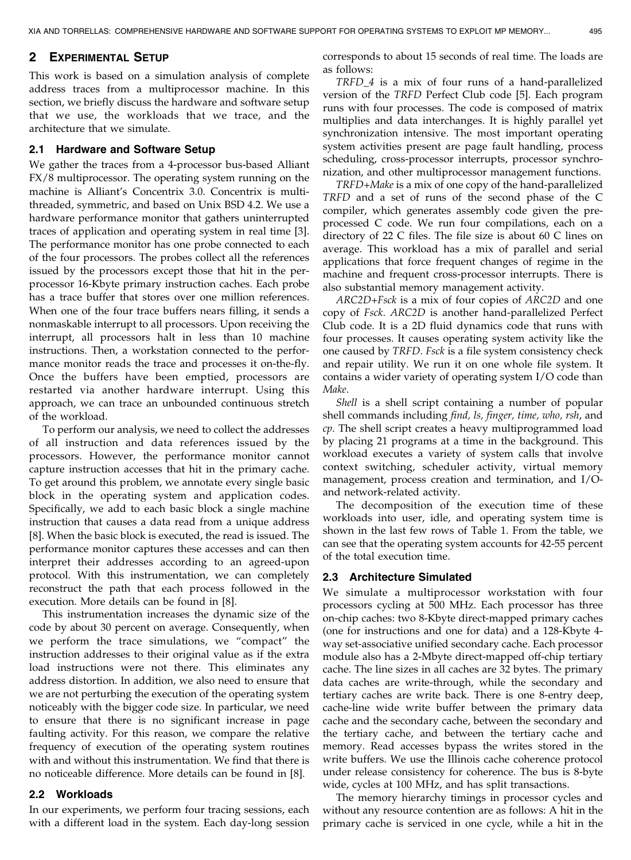# 2 EXPERIMENTAL SETUP

This work is based on a simulation analysis of complete address traces from a multiprocessor machine. In this section, we briefly discuss the hardware and software setup that we use, the workloads that we trace, and the architecture that we simulate.

#### 2.1 Hardware and Software Setup

We gather the traces from a 4-processor bus-based Alliant FX/8 multiprocessor. The operating system running on the machine is Alliant's Concentrix 3.0. Concentrix is multithreaded, symmetric, and based on Unix BSD 4.2. We use a hardware performance monitor that gathers uninterrupted traces of application and operating system in real time [3]. The performance monitor has one probe connected to each of the four processors. The probes collect all the references issued by the processors except those that hit in the perprocessor 16-Kbyte primary instruction caches. Each probe has a trace buffer that stores over one million references. When one of the four trace buffers nears filling, it sends a nonmaskable interrupt to all processors. Upon receiving the interrupt, all processors halt in less than 10 machine instructions. Then, a workstation connected to the performance monitor reads the trace and processes it on-the-fly. Once the buffers have been emptied, processors are restarted via another hardware interrupt. Using this approach, we can trace an unbounded continuous stretch of the workload.

To perform our analysis, we need to collect the addresses of all instruction and data references issued by the processors. However, the performance monitor cannot capture instruction accesses that hit in the primary cache. To get around this problem, we annotate every single basic block in the operating system and application codes. Specifically, we add to each basic block a single machine instruction that causes a data read from a unique address [8]. When the basic block is executed, the read is issued. The performance monitor captures these accesses and can then interpret their addresses according to an agreed-upon protocol. With this instrumentation, we can completely reconstruct the path that each process followed in the execution. More details can be found in [8].

This instrumentation increases the dynamic size of the code by about 30 percent on average. Consequently, when we perform the trace simulations, we "compact" the instruction addresses to their original value as if the extra load instructions were not there. This eliminates any address distortion. In addition, we also need to ensure that we are not perturbing the execution of the operating system noticeably with the bigger code size. In particular, we need to ensure that there is no significant increase in page faulting activity. For this reason, we compare the relative frequency of execution of the operating system routines with and without this instrumentation. We find that there is no noticeable difference. More details can be found in [8].

#### 2.2 Workloads

In our experiments, we perform four tracing sessions, each with a different load in the system. Each day-long session corresponds to about 15 seconds of real time. The loads are as follows:

TRFD\_4 is a mix of four runs of a hand-parallelized version of the TRFD Perfect Club code [5]. Each program runs with four processes. The code is composed of matrix multiplies and data interchanges. It is highly parallel yet synchronization intensive. The most important operating system activities present are page fault handling, process scheduling, cross-processor interrupts, processor synchronization, and other multiprocessor management functions.

TRFD+Make is a mix of one copy of the hand-parallelized TRFD and a set of runs of the second phase of the C compiler, which generates assembly code given the preprocessed C code. We run four compilations, each on a directory of 22 C files. The file size is about 60 C lines on average. This workload has a mix of parallel and serial applications that force frequent changes of regime in the machine and frequent cross-processor interrupts. There is also substantial memory management activity.

ARC2D+Fsck is a mix of four copies of ARC2D and one copy of Fsck. ARC2D is another hand-parallelized Perfect Club code. It is a 2D fluid dynamics code that runs with four processes. It causes operating system activity like the one caused by TRFD. Fsck is a file system consistency check and repair utility. We run it on one whole file system. It contains a wider variety of operating system I/O code than Make.

Shell is a shell script containing a number of popular shell commands including find, ls, finger, time, who, rsh, and cp. The shell script creates a heavy multiprogrammed load by placing 21 programs at a time in the background. This workload executes a variety of system calls that involve context switching, scheduler activity, virtual memory management, process creation and termination, and I/Oand network-related activity.

The decomposition of the execution time of these workloads into user, idle, and operating system time is shown in the last few rows of Table 1. From the table, we can see that the operating system accounts for 42-55 percent of the total execution time.

#### 2.3 Architecture Simulated

We simulate a multiprocessor workstation with four processors cycling at 500 MHz. Each processor has three on-chip caches: two 8-Kbyte direct-mapped primary caches (one for instructions and one for data) and a 128-Kbyte 4 way set-associative unified secondary cache. Each processor module also has a 2-Mbyte direct-mapped off-chip tertiary cache. The line sizes in all caches are 32 bytes. The primary data caches are write-through, while the secondary and tertiary caches are write back. There is one 8-entry deep, cache-line wide write buffer between the primary data cache and the secondary cache, between the secondary and the tertiary cache, and between the tertiary cache and memory. Read accesses bypass the writes stored in the write buffers. We use the Illinois cache coherence protocol under release consistency for coherence. The bus is 8-byte wide, cycles at 100 MHz, and has split transactions.

The memory hierarchy timings in processor cycles and without any resource contention are as follows: A hit in the primary cache is serviced in one cycle, while a hit in the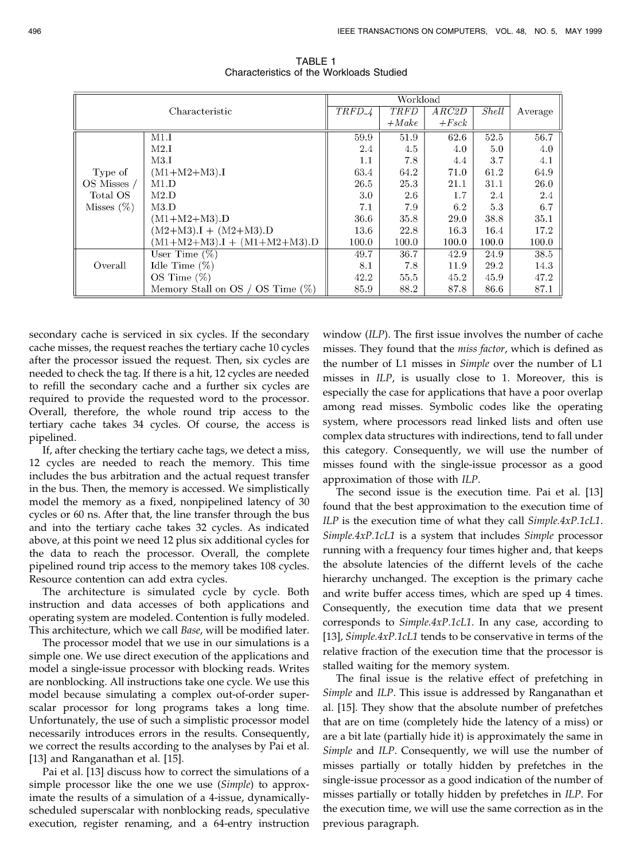|               | TRFD <sub>-4</sub>                  | <b>TRFD</b> | ARC2D   | Shell | Average |       |
|---------------|-------------------------------------|-------------|---------|-------|---------|-------|
|               |                                     | $+ Make$    | $+Fsck$ |       |         |       |
|               | M1.I                                | 59.9        | 51.9    | 62.6  | 52.5    | 56.7  |
|               | M2.I                                | 2.4         | 4.5     | 4.0   | 5.0     | 4.0   |
|               | M3.I                                | 1.1         | 7.8     | 4.4   | 3.7     | 4.1   |
| Type of       | $(M1+M2+M3).$                       | 63.4        | 64.2    | 71.0  | 61.2    | 64.9  |
| OS Misses /   | M1.D                                | 26.5        | 25.3    | 21.1  | 31.1    | 26.0  |
| Total OS      | M2.D                                | 3.0         | 2.6     | 1.7   | 2.4     | 2.4   |
| Misses $(\%)$ | M3.D                                | 7.1         | 7.9     | 6.2   | 5.3     | 6.7   |
|               | $(M1+M2+M3).D$                      | 36.6        | 35.8    | 29.0  | 38.8    | 35.1  |
|               | $(M2+M3).I + (M2+M3).D$             | 13.6        | 22.8    | 16.3  | 16.4    | 17.2  |
|               | $(M1+M2+M3)$ . I + $(M1+M2+M3)$ . D | 100.0       | 100.0   | 100.0 | 100.0   | 100.0 |
|               | User Time $(\%)$                    | 49.7        | 36.7    | 42.9  | 24.9    | 38.5  |
| Overall       | Idle Time $(\%)$                    | 8.1         | 7.8     | 11.9  | 29.2    | 14.3  |
|               | OS Time $(\%)$                      | 42.2        | 55.5    | 45.2  | 45.9    | 47.2  |
|               | Memory Stall on OS / OS Time $(\%)$ | 85.9        | 88.2    | 87.8  | 86.6    | 87.1  |

TABLE 1 Characteristics of the Workloads Studied

secondary cache is serviced in six cycles. If the secondary cache misses, the request reaches the tertiary cache 10 cycles after the processor issued the request. Then, six cycles are needed to check the tag. If there is a hit, 12 cycles are needed to refill the secondary cache and a further six cycles are required to provide the requested word to the processor. Overall, therefore, the whole round trip access to the tertiary cache takes 34 cycles. Of course, the access is pipelined.

If, after checking the tertiary cache tags, we detect a miss, 12 cycles are needed to reach the memory. This time includes the bus arbitration and the actual request transfer in the bus. Then, the memory is accessed. We simplistically model the memory as a fixed, nonpipelined latency of 30 cycles or 60 ns. After that, the line transfer through the bus and into the tertiary cache takes 32 cycles. As indicated above, at this point we need 12 plus six additional cycles for the data to reach the processor. Overall, the complete pipelined round trip access to the memory takes 108 cycles. Resource contention can add extra cycles.

The architecture is simulated cycle by cycle. Both instruction and data accesses of both applications and operating system are modeled. Contention is fully modeled. This architecture, which we call Base, will be modified later.

The processor model that we use in our simulations is a simple one. We use direct execution of the applications and model a single-issue processor with blocking reads. Writes are nonblocking. All instructions take one cycle. We use this model because simulating a complex out-of-order superscalar processor for long programs takes a long time. Unfortunately, the use of such a simplistic processor model necessarily introduces errors in the results. Consequently, we correct the results according to the analyses by Pai et al. [13] and Ranganathan et al. [15].

Pai et al. [13] discuss how to correct the simulations of a simple processor like the one we use (Simple) to approximate the results of a simulation of a 4-issue, dynamicallyscheduled superscalar with nonblocking reads, speculative execution, register renaming, and a 64-entry instruction

window (ILP). The first issue involves the number of cache misses. They found that the miss factor, which is defined as the number of L1 misses in Simple over the number of L1 misses in ILP, is usually close to 1. Moreover, this is especially the case for applications that have a poor overlap among read misses. Symbolic codes like the operating system, where processors read linked lists and often use complex data structures with indirections, tend to fall under this category. Consequently, we will use the number of misses found with the single-issue processor as a good approximation of those with ILP.

The second issue is the execution time. Pai et al. [13] found that the best approximation to the execution time of ILP is the execution time of what they call Simple.4xP.1cL1. Simple.4xP.1cL1 is a system that includes Simple processor running with a frequency four times higher and, that keeps the absolute latencies of the differnt levels of the cache hierarchy unchanged. The exception is the primary cache and write buffer access times, which are sped up 4 times. Consequently, the execution time data that we present corresponds to Simple.4xP.1cL1. In any case, according to [13], Simple.4xP.1cL1 tends to be conservative in terms of the relative fraction of the execution time that the processor is stalled waiting for the memory system.

The final issue is the relative effect of prefetching in Simple and ILP. This issue is addressed by Ranganathan et al. [15]. They show that the absolute number of prefetches that are on time (completely hide the latency of a miss) or are a bit late (partially hide it) is approximately the same in Simple and ILP. Consequently, we will use the number of misses partially or totally hidden by prefetches in the single-issue processor as a good indication of the number of misses partially or totally hidden by prefetches in ILP. For the execution time, we will use the same correction as in the previous paragraph.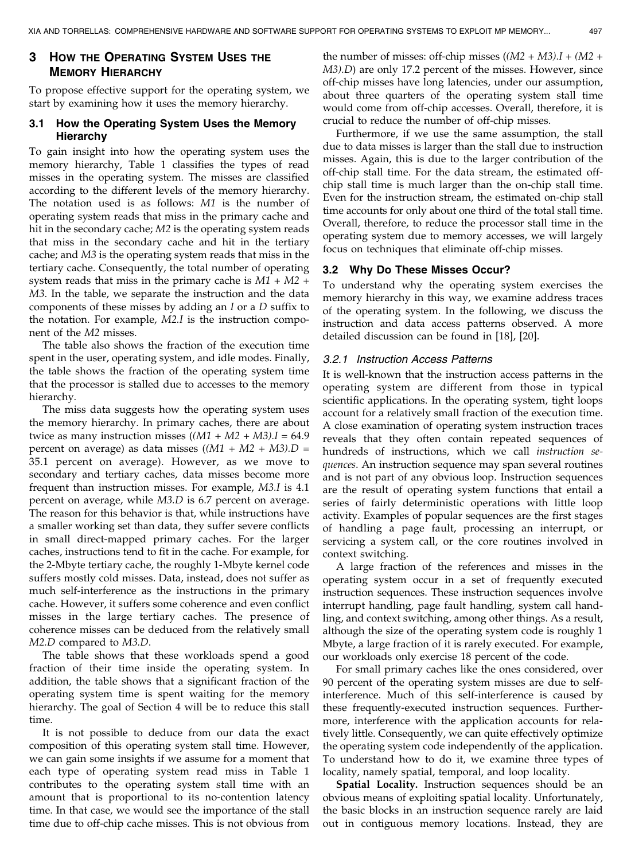# 3 HOW THE OPERATING SYSTEM USES THE MEMORY HIERARCHY

To propose effective support for the operating system, we start by examining how it uses the memory hierarchy.

#### 3.1 How the Operating System Uses the Memory Hierarchy

To gain insight into how the operating system uses the memory hierarchy, Table 1 classifies the types of read misses in the operating system. The misses are classified according to the different levels of the memory hierarchy. The notation used is as follows: M1 is the number of operating system reads that miss in the primary cache and hit in the secondary cache; M2 is the operating system reads that miss in the secondary cache and hit in the tertiary cache; and M3 is the operating system reads that miss in the tertiary cache. Consequently, the total number of operating system reads that miss in the primary cache is  $M1 + M2 +$ M3. In the table, we separate the instruction and the data components of these misses by adding an I or a D suffix to the notation. For example, M2.I is the instruction component of the M2 misses.

The table also shows the fraction of the execution time spent in the user, operating system, and idle modes. Finally, the table shows the fraction of the operating system time that the processor is stalled due to accesses to the memory hierarchy.

The miss data suggests how the operating system uses the memory hierarchy. In primary caches, there are about twice as many instruction misses  $((M1 + M2 + M3).I = 64.9$ percent on average) as data misses  $((M1 + M2 + M3).D =$ 35.1 percent on average). However, as we move to secondary and tertiary caches, data misses become more frequent than instruction misses. For example, M3.I is 4.1 percent on average, while M3.D is 6.7 percent on average. The reason for this behavior is that, while instructions have a smaller working set than data, they suffer severe conflicts in small direct-mapped primary caches. For the larger caches, instructions tend to fit in the cache. For example, for the 2-Mbyte tertiary cache, the roughly 1-Mbyte kernel code suffers mostly cold misses. Data, instead, does not suffer as much self-interference as the instructions in the primary cache. However, it suffers some coherence and even conflict misses in the large tertiary caches. The presence of coherence misses can be deduced from the relatively small M2.D compared to M3.D.

The table shows that these workloads spend a good fraction of their time inside the operating system. In addition, the table shows that a significant fraction of the operating system time is spent waiting for the memory hierarchy. The goal of Section 4 will be to reduce this stall time.

It is not possible to deduce from our data the exact composition of this operating system stall time. However, we can gain some insights if we assume for a moment that each type of operating system read miss in Table 1 contributes to the operating system stall time with an amount that is proportional to its no-contention latency time. In that case, we would see the importance of the stall time due to off-chip cache misses. This is not obvious from

the number of misses: off-chip misses  $((M2 + M3)I + (M2 +$ M3).D) are only 17.2 percent of the misses. However, since off-chip misses have long latencies, under our assumption, about three quarters of the operating system stall time would come from off-chip accesses. Overall, therefore, it is crucial to reduce the number of off-chip misses.

Furthermore, if we use the same assumption, the stall due to data misses is larger than the stall due to instruction misses. Again, this is due to the larger contribution of the off-chip stall time. For the data stream, the estimated offchip stall time is much larger than the on-chip stall time. Even for the instruction stream, the estimated on-chip stall time accounts for only about one third of the total stall time. Overall, therefore, to reduce the processor stall time in the operating system due to memory accesses, we will largely focus on techniques that eliminate off-chip misses.

# 3.2 Why Do These Misses Occur?

To understand why the operating system exercises the memory hierarchy in this way, we examine address traces of the operating system. In the following, we discuss the instruction and data access patterns observed. A more detailed discussion can be found in [18], [20].

#### 3.2.1 Instruction Access Patterns

It is well-known that the instruction access patterns in the operating system are different from those in typical scientific applications. In the operating system, tight loops account for a relatively small fraction of the execution time. A close examination of operating system instruction traces reveals that they often contain repeated sequences of hundreds of instructions, which we call instruction sequences. An instruction sequence may span several routines and is not part of any obvious loop. Instruction sequences are the result of operating system functions that entail a series of fairly deterministic operations with little loop activity. Examples of popular sequences are the first stages of handling a page fault, processing an interrupt, or servicing a system call, or the core routines involved in context switching.

A large fraction of the references and misses in the operating system occur in a set of frequently executed instruction sequences. These instruction sequences involve interrupt handling, page fault handling, system call handling, and context switching, among other things. As a result, although the size of the operating system code is roughly 1 Mbyte, a large fraction of it is rarely executed. For example, our workloads only exercise 18 percent of the code.

For small primary caches like the ones considered, over 90 percent of the operating system misses are due to selfinterference. Much of this self-interference is caused by these frequently-executed instruction sequences. Furthermore, interference with the application accounts for relatively little. Consequently, we can quite effectively optimize the operating system code independently of the application. To understand how to do it, we examine three types of locality, namely spatial, temporal, and loop locality.

Spatial Locality. Instruction sequences should be an obvious means of exploiting spatial locality. Unfortunately, the basic blocks in an instruction sequence rarely are laid out in contiguous memory locations. Instead, they are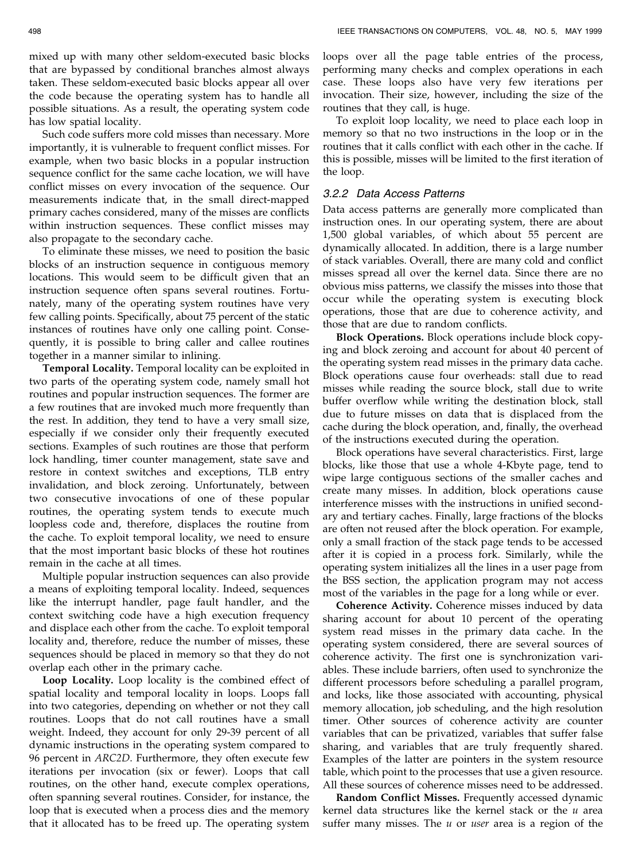mixed up with many other seldom-executed basic blocks that are bypassed by conditional branches almost always taken. These seldom-executed basic blocks appear all over the code because the operating system has to handle all possible situations. As a result, the operating system code has low spatial locality.

Such code suffers more cold misses than necessary. More importantly, it is vulnerable to frequent conflict misses. For example, when two basic blocks in a popular instruction sequence conflict for the same cache location, we will have conflict misses on every invocation of the sequence. Our measurements indicate that, in the small direct-mapped primary caches considered, many of the misses are conflicts within instruction sequences. These conflict misses may also propagate to the secondary cache.

To eliminate these misses, we need to position the basic blocks of an instruction sequence in contiguous memory locations. This would seem to be difficult given that an instruction sequence often spans several routines. Fortunately, many of the operating system routines have very few calling points. Specifically, about 75 percent of the static instances of routines have only one calling point. Consequently, it is possible to bring caller and callee routines together in a manner similar to inlining.

Temporal Locality. Temporal locality can be exploited in two parts of the operating system code, namely small hot routines and popular instruction sequences. The former are a few routines that are invoked much more frequently than the rest. In addition, they tend to have a very small size, especially if we consider only their frequently executed sections. Examples of such routines are those that perform lock handling, timer counter management, state save and restore in context switches and exceptions, TLB entry invalidation, and block zeroing. Unfortunately, between two consecutive invocations of one of these popular routines, the operating system tends to execute much loopless code and, therefore, displaces the routine from the cache. To exploit temporal locality, we need to ensure that the most important basic blocks of these hot routines remain in the cache at all times.

Multiple popular instruction sequences can also provide a means of exploiting temporal locality. Indeed, sequences like the interrupt handler, page fault handler, and the context switching code have a high execution frequency and displace each other from the cache. To exploit temporal locality and, therefore, reduce the number of misses, these sequences should be placed in memory so that they do not overlap each other in the primary cache.

Loop Locality. Loop locality is the combined effect of spatial locality and temporal locality in loops. Loops fall into two categories, depending on whether or not they call routines. Loops that do not call routines have a small weight. Indeed, they account for only 29-39 percent of all dynamic instructions in the operating system compared to 96 percent in ARC2D. Furthermore, they often execute few iterations per invocation (six or fewer). Loops that call routines, on the other hand, execute complex operations, often spanning several routines. Consider, for instance, the loop that is executed when a process dies and the memory that it allocated has to be freed up. The operating system loops over all the page table entries of the process, performing many checks and complex operations in each case. These loops also have very few iterations per invocation. Their size, however, including the size of the routines that they call, is huge.

To exploit loop locality, we need to place each loop in memory so that no two instructions in the loop or in the routines that it calls conflict with each other in the cache. If this is possible, misses will be limited to the first iteration of the loop.

#### 3.2.2 Data Access Patterns

Data access patterns are generally more complicated than instruction ones. In our operating system, there are about 1,500 global variables, of which about 55 percent are dynamically allocated. In addition, there is a large number of stack variables. Overall, there are many cold and conflict misses spread all over the kernel data. Since there are no obvious miss patterns, we classify the misses into those that occur while the operating system is executing block operations, those that are due to coherence activity, and those that are due to random conflicts.

Block Operations. Block operations include block copying and block zeroing and account for about 40 percent of the operating system read misses in the primary data cache. Block operations cause four overheads: stall due to read misses while reading the source block, stall due to write buffer overflow while writing the destination block, stall due to future misses on data that is displaced from the cache during the block operation, and, finally, the overhead of the instructions executed during the operation.

Block operations have several characteristics. First, large blocks, like those that use a whole 4-Kbyte page, tend to wipe large contiguous sections of the smaller caches and create many misses. In addition, block operations cause interference misses with the instructions in unified secondary and tertiary caches. Finally, large fractions of the blocks are often not reused after the block operation. For example, only a small fraction of the stack page tends to be accessed after it is copied in a process fork. Similarly, while the operating system initializes all the lines in a user page from the BSS section, the application program may not access most of the variables in the page for a long while or ever.

Coherence Activity. Coherence misses induced by data sharing account for about 10 percent of the operating system read misses in the primary data cache. In the operating system considered, there are several sources of coherence activity. The first one is synchronization variables. These include barriers, often used to synchronize the different processors before scheduling a parallel program, and locks, like those associated with accounting, physical memory allocation, job scheduling, and the high resolution timer. Other sources of coherence activity are counter variables that can be privatized, variables that suffer false sharing, and variables that are truly frequently shared. Examples of the latter are pointers in the system resource table, which point to the processes that use a given resource. All these sources of coherence misses need to be addressed.

Random Conflict Misses. Frequently accessed dynamic kernel data structures like the kernel stack or the  $u$  area suffer many misses. The  $u$  or *user* area is a region of the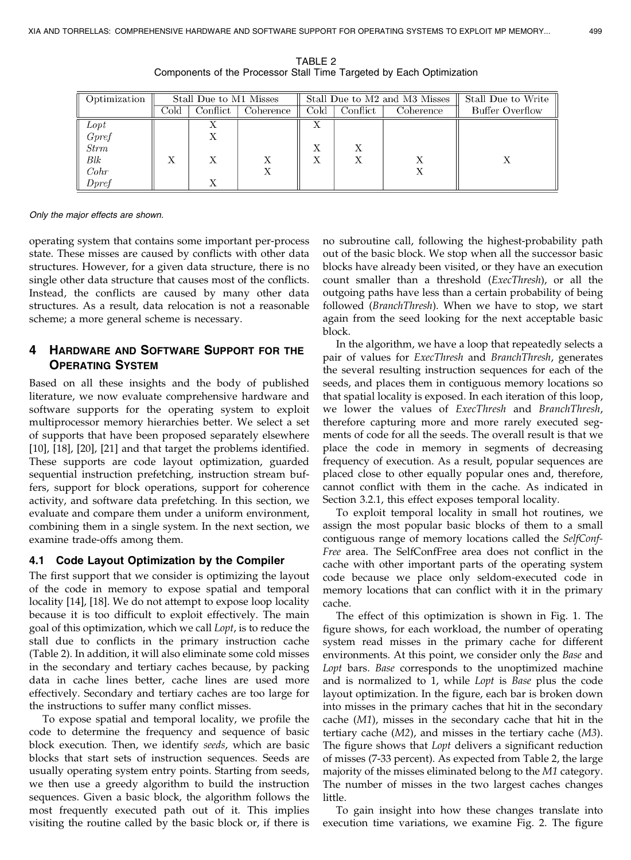| Optimization      | Stall Due to M1 Misses |          |           | Stall Due to M2 and M3 Misses |          |           | Stall Due to Write |
|-------------------|------------------------|----------|-----------|-------------------------------|----------|-----------|--------------------|
|                   | Cold                   | Conflict | Coherence | Cold                          | Conflict | Coherence | Buffer Overflow    |
| Lopt              |                        |          |           |                               |          |           |                    |
| Gpref             |                        |          |           |                               |          |           |                    |
| Strm              |                        |          |           |                               |          |           |                    |
| Blk               | Х                      |          |           | Х                             |          | Х         |                    |
| Cohr              |                        |          |           |                               |          |           |                    |
| D <sub>pref</sub> |                        |          |           |                               |          |           |                    |

TABLE 2 Components of the Processor Stall Time Targeted by Each Optimization

Only the major effects are shown.

operating system that contains some important per-process state. These misses are caused by conflicts with other data structures. However, for a given data structure, there is no single other data structure that causes most of the conflicts. Instead, the conflicts are caused by many other data structures. As a result, data relocation is not a reasonable scheme; a more general scheme is necessary.

# 4 HARDWARE AND SOFTWARE SUPPORT FOR THE OPERATING SYSTEM

Based on all these insights and the body of published literature, we now evaluate comprehensive hardware and software supports for the operating system to exploit multiprocessor memory hierarchies better. We select a set of supports that have been proposed separately elsewhere [10], [18], [20], [21] and that target the problems identified. These supports are code layout optimization, guarded sequential instruction prefetching, instruction stream buffers, support for block operations, support for coherence activity, and software data prefetching. In this section, we evaluate and compare them under a uniform environment, combining them in a single system. In the next section, we examine trade-offs among them.

#### 4.1 Code Layout Optimization by the Compiler

The first support that we consider is optimizing the layout of the code in memory to expose spatial and temporal locality [14], [18]. We do not attempt to expose loop locality because it is too difficult to exploit effectively. The main goal of this optimization, which we call Lopt, is to reduce the stall due to conflicts in the primary instruction cache (Table 2). In addition, it will also eliminate some cold misses in the secondary and tertiary caches because, by packing data in cache lines better, cache lines are used more effectively. Secondary and tertiary caches are too large for the instructions to suffer many conflict misses.

To expose spatial and temporal locality, we profile the code to determine the frequency and sequence of basic block execution. Then, we identify seeds, which are basic blocks that start sets of instruction sequences. Seeds are usually operating system entry points. Starting from seeds, we then use a greedy algorithm to build the instruction sequences. Given a basic block, the algorithm follows the most frequently executed path out of it. This implies visiting the routine called by the basic block or, if there is no subroutine call, following the highest-probability path out of the basic block. We stop when all the successor basic blocks have already been visited, or they have an execution count smaller than a threshold (ExecThresh), or all the outgoing paths have less than a certain probability of being followed (BranchThresh). When we have to stop, we start again from the seed looking for the next acceptable basic block.

In the algorithm, we have a loop that repeatedly selects a pair of values for ExecThresh and BranchThresh, generates the several resulting instruction sequences for each of the seeds, and places them in contiguous memory locations so that spatial locality is exposed. In each iteration of this loop, we lower the values of ExecThresh and BranchThresh, therefore capturing more and more rarely executed segments of code for all the seeds. The overall result is that we place the code in memory in segments of decreasing frequency of execution. As a result, popular sequences are placed close to other equally popular ones and, therefore, cannot conflict with them in the cache. As indicated in Section 3.2.1, this effect exposes temporal locality.

To exploit temporal locality in small hot routines, we assign the most popular basic blocks of them to a small contiguous range of memory locations called the SelfConf-Free area. The SelfConfFree area does not conflict in the cache with other important parts of the operating system code because we place only seldom-executed code in memory locations that can conflict with it in the primary cache.

The effect of this optimization is shown in Fig. 1. The figure shows, for each workload, the number of operating system read misses in the primary cache for different environments. At this point, we consider only the Base and Lopt bars. Base corresponds to the unoptimized machine and is normalized to 1, while Lopt is Base plus the code layout optimization. In the figure, each bar is broken down into misses in the primary caches that hit in the secondary cache (M1), misses in the secondary cache that hit in the tertiary cache (M2), and misses in the tertiary cache (M3). The figure shows that Lopt delivers a significant reduction of misses (7-33 percent). As expected from Table 2, the large majority of the misses eliminated belong to the M1 category. The number of misses in the two largest caches changes little.

To gain insight into how these changes translate into execution time variations, we examine Fig. 2. The figure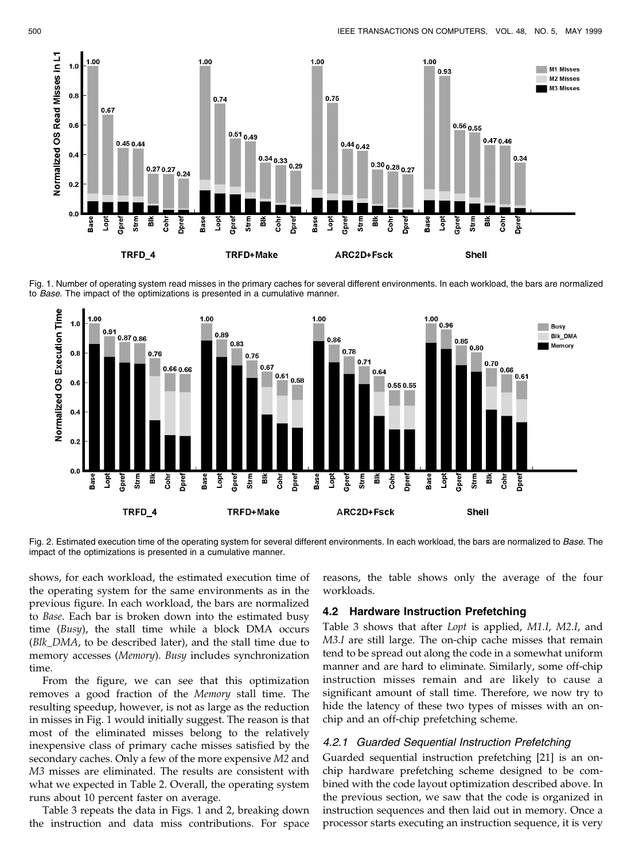





Fig. 2. Estimated execution time of the operating system for several different environments. In each workload, the bars are normalized to Base. The impact of the optimizations is presented in a cumulative manner.

shows, for each workload, the estimated execution time of the operating system for the same environments as in the previous figure. In each workload, the bars are normalized to Base. Each bar is broken down into the estimated busy time (Busy), the stall time while a block DMA occurs (Blk\_DMA, to be described later), and the stall time due to memory accesses (Memory). Busy includes synchronization time.

From the figure, we can see that this optimization removes a good fraction of the Memory stall time. The resulting speedup, however, is not as large as the reduction in misses in Fig. 1 would initially suggest. The reason is that most of the eliminated misses belong to the relatively inexpensive class of primary cache misses satisfied by the secondary caches. Only a few of the more expensive M2 and M3 misses are eliminated. The results are consistent with what we expected in Table 2. Overall, the operating system runs about 10 percent faster on average.

Table 3 repeats the data in Figs. 1 and 2, breaking down the instruction and data miss contributions. For space

reasons, the table shows only the average of the four workloads.

#### 4.2 Hardware Instruction Prefetching

Table 3 shows that after Lopt is applied, M1.I, M2.I, and M3.I are still large. The on-chip cache misses that remain tend to be spread out along the code in a somewhat uniform manner and are hard to eliminate. Similarly, some off-chip instruction misses remain and are likely to cause a significant amount of stall time. Therefore, we now try to hide the latency of these two types of misses with an onchip and an off-chip prefetching scheme.

# 4.2.1 Guarded Sequential Instruction Prefetching

Guarded sequential instruction prefetching [21] is an onchip hardware prefetching scheme designed to be combined with the code layout optimization described above. In the previous section, we saw that the code is organized in instruction sequences and then laid out in memory. Once a processor starts executing an instruction sequence, it is very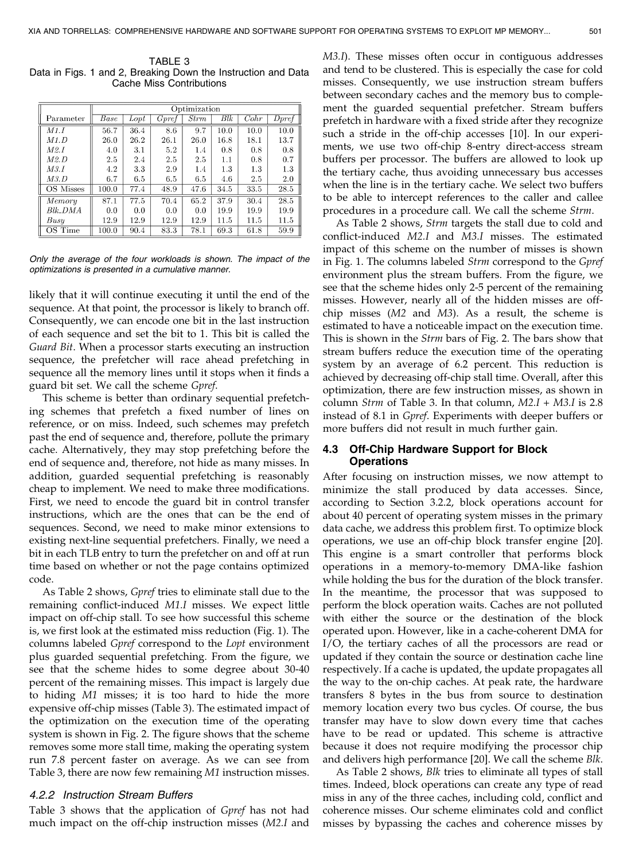TABLE 3 Data in Figs. 1 and 2, Breaking Down the Instruction and Data Cache Miss Contributions

|           | Optimization |      |       |           |      |      |       |  |  |
|-----------|--------------|------|-------|-----------|------|------|-------|--|--|
| Parameter | Base         | Lopt | Gpref | $^{Strm}$ | Blk  | Cohr | Dpref |  |  |
| M1.I      | 56.7         | 36.4 | 8.6   | 9.7       | 10.0 | 10.0 | 10.0  |  |  |
| M1.D      | 26.0         | 26.2 | 26.1  | 26.0      | 16.8 | 18.1 | 13.7  |  |  |
| M2.1      | 4.0          | 3.1  | 5.2   | 1.4       | 0.8  | 0.8  | 0.8   |  |  |
| M2.D      | 2.5          | 2.4  | 2.5   | 2.5       | 1.1  | 0.8  | 0.7   |  |  |
| M3.I      | 4.2          | 3.3  | 2.9   | 1.4       | 1.3  | 1.3  | 1.3   |  |  |
| M3.D      | 6.7          | 6.5  | 6.5   | 6.5       | 4.6  | 2.5  | 2.0   |  |  |
| OS Misses | 100.0        | 77.4 | 48.9  | 47.6      | 34.5 | 33.5 | 28.5  |  |  |
| Memory    | 87.1         | 77.5 | 70.4  | 65.2      | 37.9 | 30.4 | 28.5  |  |  |
| Blk_DMA   | 0.0          | 0.0  | 0.0   | 0.0       | 19.9 | 19.9 | 19.9  |  |  |
| Busy      | 12.9         | 12.9 | 12.9  | 12.9      | 11.5 | 11.5 | 11.5  |  |  |
| OS Time   | 100.0        | 90.4 | 83.3  | 78.1      | 69.3 | 61.8 | 59.9  |  |  |

Only the average of the four workloads is shown. The impact of the optimizations is presented in a cumulative manner.

likely that it will continue executing it until the end of the sequence. At that point, the processor is likely to branch off. Consequently, we can encode one bit in the last instruction of each sequence and set the bit to 1. This bit is called the Guard Bit. When a processor starts executing an instruction sequence, the prefetcher will race ahead prefetching in sequence all the memory lines until it stops when it finds a guard bit set. We call the scheme Gpref.

This scheme is better than ordinary sequential prefetching schemes that prefetch a fixed number of lines on reference, or on miss. Indeed, such schemes may prefetch past the end of sequence and, therefore, pollute the primary cache. Alternatively, they may stop prefetching before the end of sequence and, therefore, not hide as many misses. In addition, guarded sequential prefetching is reasonably cheap to implement. We need to make three modifications. First, we need to encode the guard bit in control transfer instructions, which are the ones that can be the end of sequences. Second, we need to make minor extensions to existing next-line sequential prefetchers. Finally, we need a bit in each TLB entry to turn the prefetcher on and off at run time based on whether or not the page contains optimized code.

As Table 2 shows, Gpref tries to eliminate stall due to the remaining conflict-induced M1.I misses. We expect little impact on off-chip stall. To see how successful this scheme is, we first look at the estimated miss reduction (Fig. 1). The columns labeled Gpref correspond to the Lopt environment plus guarded sequential prefetching. From the figure, we see that the scheme hides to some degree about 30-40 percent of the remaining misses. This impact is largely due to hiding M1 misses; it is too hard to hide the more expensive off-chip misses (Table 3). The estimated impact of the optimization on the execution time of the operating system is shown in Fig. 2. The figure shows that the scheme removes some more stall time, making the operating system run 7.8 percent faster on average. As we can see from Table 3, there are now few remaining M1 instruction misses.

#### 4.2.2 Instruction Stream Buffers

Table 3 shows that the application of Gpref has not had much impact on the off-chip instruction misses (M2.I and M3.I). These misses often occur in contiguous addresses and tend to be clustered. This is especially the case for cold misses. Consequently, we use instruction stream buffers between secondary caches and the memory bus to complement the guarded sequential prefetcher. Stream buffers prefetch in hardware with a fixed stride after they recognize such a stride in the off-chip accesses [10]. In our experiments, we use two off-chip 8-entry direct-access stream buffers per processor. The buffers are allowed to look up the tertiary cache, thus avoiding unnecessary bus accesses when the line is in the tertiary cache. We select two buffers to be able to intercept references to the caller and callee procedures in a procedure call. We call the scheme Strm.

As Table 2 shows, Strm targets the stall due to cold and conflict-induced M2.I and M3.I misses. The estimated impact of this scheme on the number of misses is shown in Fig. 1. The columns labeled Strm correspond to the Gpref environment plus the stream buffers. From the figure, we see that the scheme hides only 2-5 percent of the remaining misses. However, nearly all of the hidden misses are offchip misses (M2 and M3). As a result, the scheme is estimated to have a noticeable impact on the execution time. This is shown in the *Strm* bars of Fig. 2. The bars show that stream buffers reduce the execution time of the operating system by an average of 6.2 percent. This reduction is achieved by decreasing off-chip stall time. Overall, after this optimization, there are few instruction misses, as shown in column Strm of Table 3. In that column,  $M2.I + M3.I$  is 2.8 instead of 8.1 in Gpref. Experiments with deeper buffers or more buffers did not result in much further gain.

#### 4.3 Off-Chip Hardware Support for Block **Operations**

After focusing on instruction misses, we now attempt to minimize the stall produced by data accesses. Since, according to Section 3.2.2, block operations account for about 40 percent of operating system misses in the primary data cache, we address this problem first. To optimize block operations, we use an off-chip block transfer engine [20]. This engine is a smart controller that performs block operations in a memory-to-memory DMA-like fashion while holding the bus for the duration of the block transfer. In the meantime, the processor that was supposed to perform the block operation waits. Caches are not polluted with either the source or the destination of the block operated upon. However, like in a cache-coherent DMA for I/O, the tertiary caches of all the processors are read or updated if they contain the source or destination cache line respectively. If a cache is updated, the update propagates all the way to the on-chip caches. At peak rate, the hardware transfers 8 bytes in the bus from source to destination memory location every two bus cycles. Of course, the bus transfer may have to slow down every time that caches have to be read or updated. This scheme is attractive because it does not require modifying the processor chip and delivers high performance [20]. We call the scheme Blk.

As Table 2 shows, Blk tries to eliminate all types of stall times. Indeed, block operations can create any type of read miss in any of the three caches, including cold, conflict and coherence misses. Our scheme eliminates cold and conflict misses by bypassing the caches and coherence misses by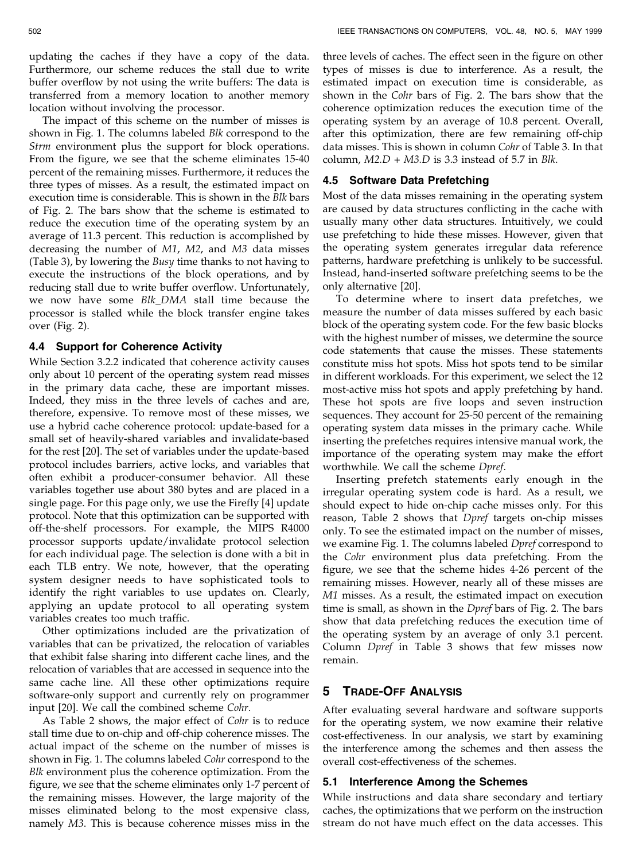updating the caches if they have a copy of the data. Furthermore, our scheme reduces the stall due to write buffer overflow by not using the write buffers: The data is transferred from a memory location to another memory location without involving the processor.

The impact of this scheme on the number of misses is shown in Fig. 1. The columns labeled Blk correspond to the Strm environment plus the support for block operations. From the figure, we see that the scheme eliminates 15-40 percent of the remaining misses. Furthermore, it reduces the three types of misses. As a result, the estimated impact on execution time is considerable. This is shown in the Blk bars of Fig. 2. The bars show that the scheme is estimated to reduce the execution time of the operating system by an average of 11.3 percent. This reduction is accomplished by decreasing the number of M1, M2, and M3 data misses (Table 3), by lowering the Busy time thanks to not having to execute the instructions of the block operations, and by reducing stall due to write buffer overflow. Unfortunately, we now have some Blk\_DMA stall time because the processor is stalled while the block transfer engine takes over (Fig. 2).

#### 4.4 Support for Coherence Activity

While Section 3.2.2 indicated that coherence activity causes only about 10 percent of the operating system read misses in the primary data cache, these are important misses. Indeed, they miss in the three levels of caches and are, therefore, expensive. To remove most of these misses, we use a hybrid cache coherence protocol: update-based for a small set of heavily-shared variables and invalidate-based for the rest [20]. The set of variables under the update-based protocol includes barriers, active locks, and variables that often exhibit a producer-consumer behavior. All these variables together use about 380 bytes and are placed in a single page. For this page only, we use the Firefly [4] update protocol. Note that this optimization can be supported with off-the-shelf processors. For example, the MIPS R4000 processor supports update/invalidate protocol selection for each individual page. The selection is done with a bit in each TLB entry. We note, however, that the operating system designer needs to have sophisticated tools to identify the right variables to use updates on. Clearly, applying an update protocol to all operating system variables creates too much traffic.

Other optimizations included are the privatization of variables that can be privatized, the relocation of variables that exhibit false sharing into different cache lines, and the relocation of variables that are accessed in sequence into the same cache line. All these other optimizations require software-only support and currently rely on programmer input [20]. We call the combined scheme Cohr.

As Table 2 shows, the major effect of Cohr is to reduce stall time due to on-chip and off-chip coherence misses. The actual impact of the scheme on the number of misses is shown in Fig. 1. The columns labeled Cohr correspond to the Blk environment plus the coherence optimization. From the figure, we see that the scheme eliminates only 1-7 percent of the remaining misses. However, the large majority of the misses eliminated belong to the most expensive class, namely M3. This is because coherence misses miss in the

three levels of caches. The effect seen in the figure on other types of misses is due to interference. As a result, the estimated impact on execution time is considerable, as shown in the Cohr bars of Fig. 2. The bars show that the coherence optimization reduces the execution time of the operating system by an average of 10.8 percent. Overall, after this optimization, there are few remaining off-chip data misses. This is shown in column Cohr of Table 3. In that column,  $M2.D + M3.D$  is 3.3 instead of 5.7 in Blk.

# 4.5 Software Data Prefetching

Most of the data misses remaining in the operating system are caused by data structures conflicting in the cache with usually many other data structures. Intuitively, we could use prefetching to hide these misses. However, given that the operating system generates irregular data reference patterns, hardware prefetching is unlikely to be successful. Instead, hand-inserted software prefetching seems to be the only alternative [20].

To determine where to insert data prefetches, we measure the number of data misses suffered by each basic block of the operating system code. For the few basic blocks with the highest number of misses, we determine the source code statements that cause the misses. These statements constitute miss hot spots. Miss hot spots tend to be similar in different workloads. For this experiment, we select the 12 most-active miss hot spots and apply prefetching by hand. These hot spots are five loops and seven instruction sequences. They account for 25-50 percent of the remaining operating system data misses in the primary cache. While inserting the prefetches requires intensive manual work, the importance of the operating system may make the effort worthwhile. We call the scheme Dpref.

Inserting prefetch statements early enough in the irregular operating system code is hard. As a result, we should expect to hide on-chip cache misses only. For this reason, Table 2 shows that Dpref targets on-chip misses only. To see the estimated impact on the number of misses, we examine Fig. 1. The columns labeled Dpref correspond to the Cohr environment plus data prefetching. From the figure, we see that the scheme hides 4-26 percent of the remaining misses. However, nearly all of these misses are M1 misses. As a result, the estimated impact on execution time is small, as shown in the *Dpref* bars of Fig. 2. The bars show that data prefetching reduces the execution time of the operating system by an average of only 3.1 percent. Column Dpref in Table 3 shows that few misses now remain.

# 5 TRADE-OFF ANALYSIS

After evaluating several hardware and software supports for the operating system, we now examine their relative cost-effectiveness. In our analysis, we start by examining the interference among the schemes and then assess the overall cost-effectiveness of the schemes.

#### 5.1 Interference Among the Schemes

While instructions and data share secondary and tertiary caches, the optimizations that we perform on the instruction stream do not have much effect on the data accesses. This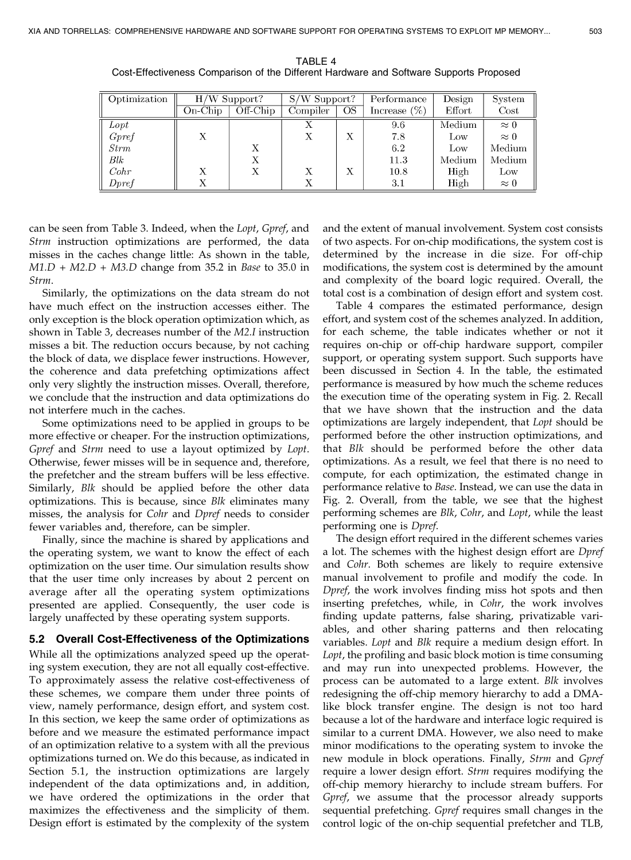| Optimization | $H/W$ Support? |          | $S/W$ Support? |           | Performance     | Design | System      |
|--------------|----------------|----------|----------------|-----------|-----------------|--------|-------------|
|              | $On-Chip$      | Off-Chip | Compiler       | <b>OS</b> | Increase $(\%)$ | Effort | $\cos t$    |
| Lopt         |                |          |                |           | 9.6             | Medium | $\approx 0$ |
| Gpref        | X              |          | X              | Х         | 7.8             | Low    | $\approx 0$ |
| <i>Strm</i>  |                | X        |                |           | 6.2             | Low    | Medium      |
| Blk          |                | Х        |                |           | 11.3            | Medium | Medium      |
| Cohr         | Х              | X        | X              | Х         | 10.8            | High   | Low         |
| Dpref        | X              |          | Χ              |           | 3.1             | High   | $\approx 0$ |

TABLE 4 Cost-Effectiveness Comparison of the Different Hardware and Software Supports Proposed

can be seen from Table 3. Indeed, when the Lopt, Gpref, and Strm instruction optimizations are performed, the data misses in the caches change little: As shown in the table,  $M1.D + M2.D + M3.D$  change from 35.2 in *Base* to 35.0 in Strm.

Similarly, the optimizations on the data stream do not have much effect on the instruction accesses either. The only exception is the block operation optimization which, as shown in Table 3, decreases number of the M2.I instruction misses a bit. The reduction occurs because, by not caching the block of data, we displace fewer instructions. However, the coherence and data prefetching optimizations affect only very slightly the instruction misses. Overall, therefore, we conclude that the instruction and data optimizations do not interfere much in the caches.

Some optimizations need to be applied in groups to be more effective or cheaper. For the instruction optimizations, Gpref and Strm need to use a layout optimized by Lopt. Otherwise, fewer misses will be in sequence and, therefore, the prefetcher and the stream buffers will be less effective. Similarly, Blk should be applied before the other data optimizations. This is because, since Blk eliminates many misses, the analysis for Cohr and Dpref needs to consider fewer variables and, therefore, can be simpler.

Finally, since the machine is shared by applications and the operating system, we want to know the effect of each optimization on the user time. Our simulation results show that the user time only increases by about 2 percent on average after all the operating system optimizations presented are applied. Consequently, the user code is largely unaffected by these operating system supports.

#### 5.2 Overall Cost-Effectiveness of the Optimizations

While all the optimizations analyzed speed up the operating system execution, they are not all equally cost-effective. To approximately assess the relative cost-effectiveness of these schemes, we compare them under three points of view, namely performance, design effort, and system cost. In this section, we keep the same order of optimizations as before and we measure the estimated performance impact of an optimization relative to a system with all the previous optimizations turned on. We do this because, as indicated in Section 5.1, the instruction optimizations are largely independent of the data optimizations and, in addition, we have ordered the optimizations in the order that maximizes the effectiveness and the simplicity of them. Design effort is estimated by the complexity of the system and the extent of manual involvement. System cost consists of two aspects. For on-chip modifications, the system cost is determined by the increase in die size. For off-chip modifications, the system cost is determined by the amount and complexity of the board logic required. Overall, the total cost is a combination of design effort and system cost.

Table 4 compares the estimated performance, design effort, and system cost of the schemes analyzed. In addition, for each scheme, the table indicates whether or not it requires on-chip or off-chip hardware support, compiler support, or operating system support. Such supports have been discussed in Section 4. In the table, the estimated performance is measured by how much the scheme reduces the execution time of the operating system in Fig. 2. Recall that we have shown that the instruction and the data optimizations are largely independent, that Lopt should be performed before the other instruction optimizations, and that Blk should be performed before the other data optimizations. As a result, we feel that there is no need to compute, for each optimization, the estimated change in performance relative to Base. Instead, we can use the data in Fig. 2. Overall, from the table, we see that the highest performing schemes are Blk, Cohr, and Lopt, while the least performing one is Dpref.

The design effort required in the different schemes varies a lot. The schemes with the highest design effort are Dpref and Cohr. Both schemes are likely to require extensive manual involvement to profile and modify the code. In Dpref, the work involves finding miss hot spots and then inserting prefetches, while, in Cohr, the work involves finding update patterns, false sharing, privatizable variables, and other sharing patterns and then relocating variables. Lopt and Blk require a medium design effort. In Lopt, the profiling and basic block motion is time consuming and may run into unexpected problems. However, the process can be automated to a large extent. Blk involves redesigning the off-chip memory hierarchy to add a DMAlike block transfer engine. The design is not too hard because a lot of the hardware and interface logic required is similar to a current DMA. However, we also need to make minor modifications to the operating system to invoke the new module in block operations. Finally, Strm and Gpref require a lower design effort. Strm requires modifying the off-chip memory hierarchy to include stream buffers. For Gpref, we assume that the processor already supports sequential prefetching. Gpref requires small changes in the control logic of the on-chip sequential prefetcher and TLB,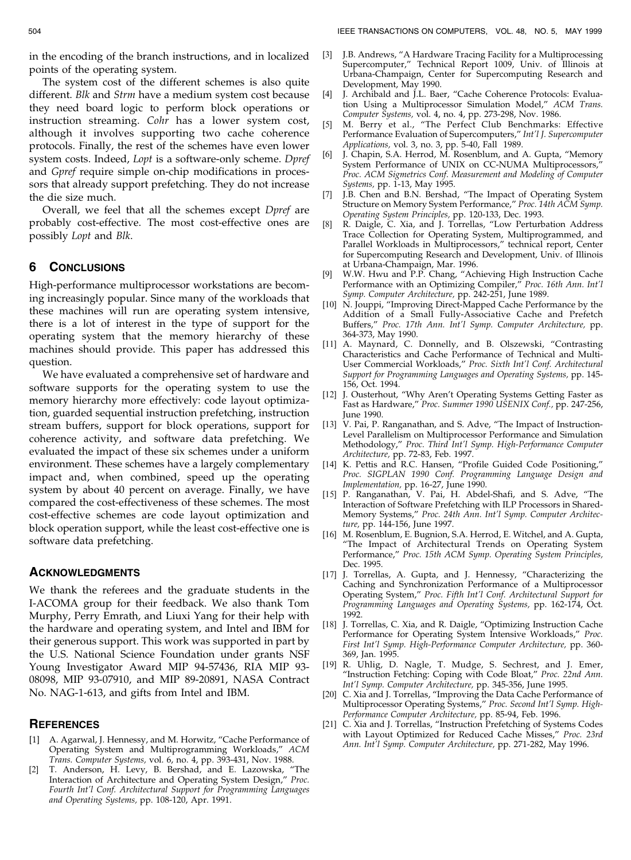in the encoding of the branch instructions, and in localized points of the operating system.

The system cost of the different schemes is also quite different. Blk and Strm have a medium system cost because they need board logic to perform block operations or instruction streaming. Cohr has a lower system cost, although it involves supporting two cache coherence protocols. Finally, the rest of the schemes have even lower system costs. Indeed, Lopt is a software-only scheme. Dpref and Gpref require simple on-chip modifications in processors that already support prefetching. They do not increase the die size much.

Overall, we feel that all the schemes except Dpref are probably cost-effective. The most cost-effective ones are possibly Lopt and Blk.

# 6 CONCLUSIONS

High-performance multiprocessor workstations are becoming increasingly popular. Since many of the workloads that these machines will run are operating system intensive, there is a lot of interest in the type of support for the operating system that the memory hierarchy of these machines should provide. This paper has addressed this question.

We have evaluated a comprehensive set of hardware and software supports for the operating system to use the memory hierarchy more effectively: code layout optimization, guarded sequential instruction prefetching, instruction stream buffers, support for block operations, support for coherence activity, and software data prefetching. We evaluated the impact of these six schemes under a uniform environment. These schemes have a largely complementary impact and, when combined, speed up the operating system by about 40 percent on average. Finally, we have compared the cost-effectiveness of these schemes. The most cost-effective schemes are code layout optimization and block operation support, while the least cost-effective one is software data prefetching.

#### ACKNOWLEDGMENTS

We thank the referees and the graduate students in the I-ACOMA group for their feedback. We also thank Tom Murphy, Perry Emrath, and Liuxi Yang for their help with the hardware and operating system, and Intel and IBM for their generous support. This work was supported in part by the U.S. National Science Foundation under grants NSF Young Investigator Award MIP 94-57436, RIA MIP 93- 08098, MIP 93-07910, and MIP 89-20891, NASA Contract No. NAG-1-613, and gifts from Intel and IBM.

#### **REFERENCES**

- [1] A. Agarwal, J. Hennessy, and M. Horwitz, "Cache Performance of Operating System and Multiprogramming Workloads," ACM Trans. Computer Systems, vol. 6, no. 4, pp. 393-431, Nov. 1988.
- T. Anderson, H. Levy, B. Bershad, and E. Lazowska, "The Interaction of Architecture and Operating System Design," Proc. Fourth Int'l Conf. Architectural Support for Programming Languages and Operating Systems, pp. 108-120, Apr. 1991.
- [3] J.B. Andrews, "A Hardware Tracing Facility for a Multiprocessing Supercomputer," Technical Report 1009, Univ. of Illinois at Urbana-Champaign, Center for Supercomputing Research and Development, May 1990.
- [4] J. Archibald and J.L. Baer, "Cache Coherence Protocols: Evaluation Using a Multiprocessor Simulation Model," ACM Trans. Computer Systems, vol. 4, no. 4, pp. 273-298, Nov. 1986.
- [5] M. Berry et al., "The Perfect Club Benchmarks: Effective Performance Evaluation of Supercomputers," Int'l J. Supercomputer Applications, vol. 3, no. 3, pp. 5-40, Fall 1989.
- [6] J. Chapin, S.A. Herrod, M. Rosenblum, and A. Gupta, "Memory System Performance of UNIX on CC-NUMA Multiprocessors, Proc. ACM Sigmetrics Conf. Measurement and Modeling of Computer Systems, pp. 1-13, May 1995.
- [7] J.B. Chen and B.N. Bershad, "The Impact of Operating System Structure on Memory System Performance," Proc. 14th ACM Symp. Operating System Principles, pp. 120-133, Dec. 1993.
- [8] R. Daigle, C. Xia, and J. Torrellas, "Low Perturbation Address Trace Collection for Operating System, Multiprogrammed, and Parallel Workloads in Multiprocessors," technical report, Center for Supercomputing Research and Development, Univ. of Illinois at Urbana-Champaign, Mar. 1996.
- [9] W.W. Hwu and P.P. Chang, ªAchieving High Instruction Cache Performance with an Optimizing Compiler," Proc. 16th Ann. Int'l Symp. Computer Architecture, pp. 242-251, June 1989.
- [10] N. Jouppi, ªImproving Direct-Mapped Cache Performance by the Addition of a Small Fully-Associative Cache and Prefetch Buffers," Proc. 17th Ann. Int'l Symp. Computer Architecture, pp. 364-373, May 1990.
- [11] A. Maynard, C. Donnelly, and B. Olszewski, ªContrasting Characteristics and Cache Performance of Technical and Multi-User Commercial Workloads," Proc. Sixth Int'l Conf. Architectural Support for Programming Languages and Operating Systems, pp. 145- 156, Oct. 1994.
- [12] J. Ousterhout, "Why Aren't Operating Systems Getting Faster as Fast as Hardware," Proc. Summer 1990 USENIX Conf., pp. 247-256, June 1990.
- [13] V. Pai, P. Ranganathan, and S. Adve, "The Impact of Instruction-Level Parallelism on Multiprocessor Performance and Simulation Methodology,º Proc. Third Int'l Symp. High-Performance Computer Architecture, pp. 72-83, Feb. 1997.
- [14] K. Pettis and R.C. Hansen, "Profile Guided Code Positioning," Proc. SIGPLAN 1990 Conf. Programming Language Design and Implementation, pp. 16-27, June 1990.
- [15] P. Ranganathan, V. Pai, H. Abdel-Shafi, and S. Adve, "The Interaction of Software Prefetching with ILP Processors in Shared-Memory Systems," Proc. 24th Ann. Int'l Symp. Computer Architecture, pp. 144-156, June 1997.
- [16] M. Rosenblum, E. Bugnion, S.A. Herrod, E. Witchel, and A. Gupta, ªThe Impact of Architectural Trends on Operating System Performance," Proc. 15th ACM Symp. Operating System Principles, Dec. 1995.
- [17] J. Torrellas, A. Gupta, and J. Hennessy, "Characterizing the Caching and Synchronization Performance of a Multiprocessor Operating System," Proc. Fifth Int'l Conf. Architectural Support for Programming Languages and Operating Systems, pp. 162-174, Oct. 1992.
- [18] J. Torrellas, C. Xia, and R. Daigle, "Optimizing Instruction Cache Performance for Operating System Intensive Workloads," Proc. First Int'l Symp. High-Performance Computer Architecture, pp. 360- 369, Jan. 1995.
- [19] R. Uhlig, D. Nagle, T. Mudge, S. Sechrest, and J. Emer, "Instruction Fetching: Coping with Code Bloat," Proc. 22nd Ann. Int'l Symp. Computer Architecture, pp. 345-356, June 1995.
- [20] C. Xia and J. Torrellas, "Improving the Data Cache Performance of Multiprocessor Operating Systems,º Proc. Second Int'l Symp. High-Performance Computer Architecture, pp. 85-94, Feb. 1996.
- [21] C. Xia and J. Torrellas, "Instruction Prefetching of Systems Codes with Layout Optimized for Reduced Cache Misses," Proc. 23rd Ann. Int'l Symp. Computer Architecture, pp. 271-282, May 1996.